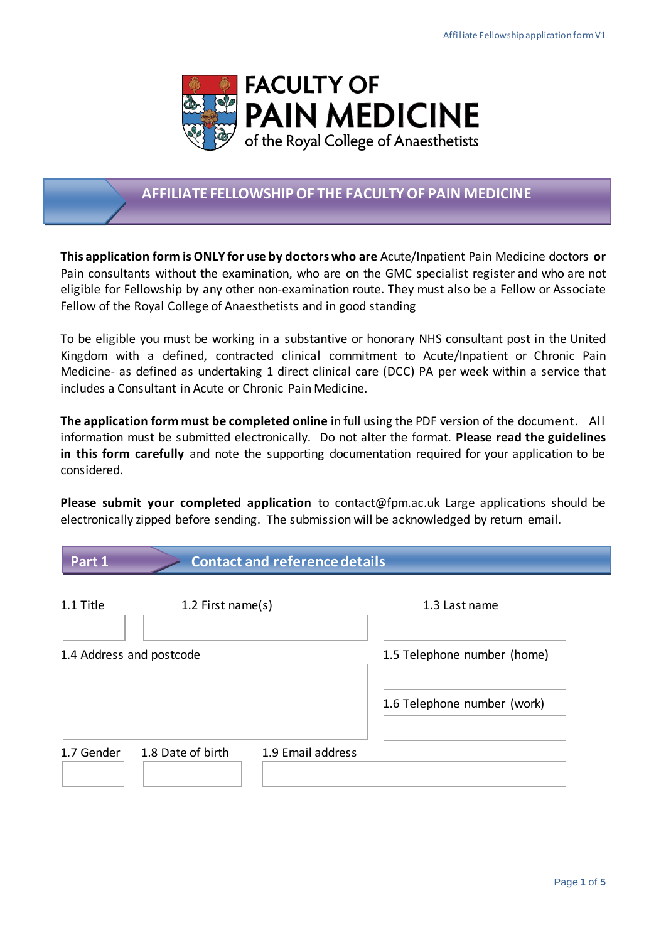

# **AFFILIATE FELLOWSHIP OF THE FACULTY OF PAIN MEDICINE**

**This application form is ONLY for use by doctors who are** Acute/Inpatient Pain Medicine doctors **or**  Pain consultants without the examination, who are on the GMC specialist register and who are not eligible for Fellowship by any other non-examination route. They must also be a Fellow or Associate Fellow of the Royal College of Anaesthetists and in good standing

To be eligible you must be working in a substantive or honorary NHS consultant post in the United Kingdom with a defined, contracted clinical commitment to Acute/Inpatient or Chronic Pain Medicine- as defined as undertaking 1 direct clinical care (DCC) PA per week within a service that includes a Consultant in Acute or Chronic Pain Medicine.

**The application form must be completed online** in full using the PDF version of the document. All information must be submitted electronically. Do not alter the format. **Please read the guidelines in this form carefully** and note the supporting documentation required for your application to be considered.

**Please submit your completed application** to contact@fpm.ac.uk Large applications should be electronically zipped before sending. The submission will be acknowledged by return email.

| Part 1                   | <b>Contact and reference details</b> |                             |                             |  |  |  |
|--------------------------|--------------------------------------|-----------------------------|-----------------------------|--|--|--|
| 1.1 Title                | 1.2 First name(s)                    |                             | 1.3 Last name               |  |  |  |
| 1.4 Address and postcode |                                      | 1.5 Telephone number (home) |                             |  |  |  |
|                          |                                      |                             | 1.6 Telephone number (work) |  |  |  |
| 1.7 Gender               | 1.8 Date of birth                    | 1.9 Email address           |                             |  |  |  |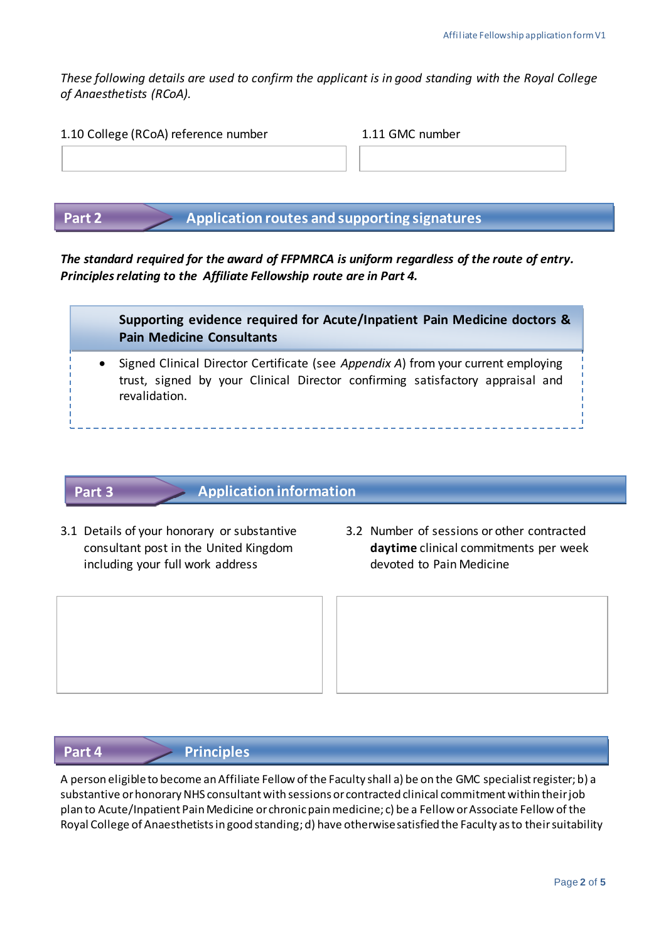*These following details are used to confirm the applicant is in good standing with the Royal College of Anaesthetists (RCoA).*

| 1.10 College (RCoA) reference number | 1.11 GMC number |  |  |
|--------------------------------------|-----------------|--|--|
|                                      |                 |  |  |
|                                      |                 |  |  |
|                                      |                 |  |  |

**Part 2 Application routes and supporting signatures**

*The standard required for the award of FFPMRCA is uniform regardless of the route of entry. Principles relating to the Affiliate Fellowship route are in Part 4.*



• Signed Clinical Director Certificate (see *Appendix A*) from your current employing trust, signed by your Clinical Director confirming satisfactory appraisal and revalidation.

# **Part 3**

# **Application information**

- including your full work address devoted to Pain Medicine
- 3.1 Details of your honorary or substantive 3.2 Number of sessions or other contracted consultant post in the United Kingdom **daytime** clinical commitments per week

# **Part 4 Principles**

A person eligible to become anAffiliate Fellow of the Faculty shall a) be on the GMC specialist register; b) a substantive or honorary NHS consultant with sessions or contracted clinical commitment within their job plan to Acute/Inpatient Pain Medicine or chronic pain medicine; c) be a Fellow or Associate Fellow of the Royal College of Anaesthetists in good standing; d) have otherwise satisfied the Faculty as to their suitability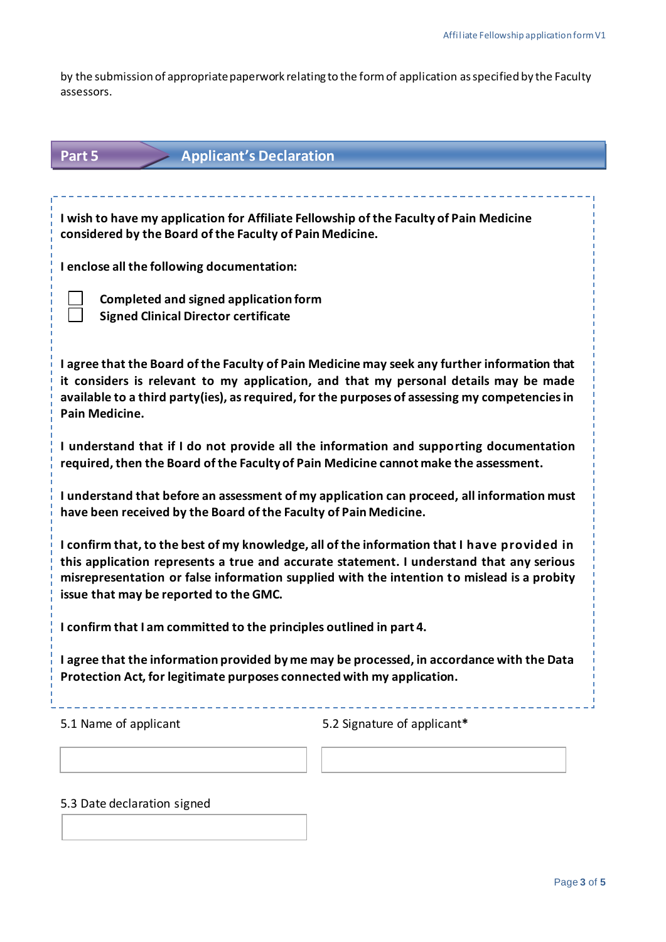by the submission of appropriate paperwork relating to the form of application as specified by the Faculty assessors.

| <b>Applicant's Declaration</b><br>Part 5                                                                                                                                                                                                                                                                                        |                             |  |  |  |  |  |
|---------------------------------------------------------------------------------------------------------------------------------------------------------------------------------------------------------------------------------------------------------------------------------------------------------------------------------|-----------------------------|--|--|--|--|--|
|                                                                                                                                                                                                                                                                                                                                 |                             |  |  |  |  |  |
| I wish to have my application for Affiliate Fellowship of the Faculty of Pain Medicine<br>considered by the Board of the Faculty of Pain Medicine.                                                                                                                                                                              |                             |  |  |  |  |  |
| I enclose all the following documentation:                                                                                                                                                                                                                                                                                      |                             |  |  |  |  |  |
| Completed and signed application form<br><b>Signed Clinical Director certificate</b>                                                                                                                                                                                                                                            |                             |  |  |  |  |  |
| I agree that the Board of the Faculty of Pain Medicine may seek any further information that<br>it considers is relevant to my application, and that my personal details may be made<br>available to a third party(ies), as required, for the purposes of assessing my competencies in<br>Pain Medicine.                        |                             |  |  |  |  |  |
| I understand that if I do not provide all the information and supporting documentation<br>required, then the Board of the Faculty of Pain Medicine cannot make the assessment.                                                                                                                                                  |                             |  |  |  |  |  |
| I understand that before an assessment of my application can proceed, all information must<br>have been received by the Board of the Faculty of Pain Medicine.                                                                                                                                                                  |                             |  |  |  |  |  |
| I confirm that, to the best of my knowledge, all of the information that I have provided in<br>this application represents a true and accurate statement. I understand that any serious<br>misrepresentation or false information supplied with the intention to mislead is a probity<br>issue that may be reported to the GMC. |                             |  |  |  |  |  |
| I confirm that I am committed to the principles outlined in part 4.                                                                                                                                                                                                                                                             |                             |  |  |  |  |  |
| I agree that the information provided by me may be processed, in accordance with the Data<br>Protection Act, for legitimate purposes connected with my application.                                                                                                                                                             |                             |  |  |  |  |  |
| 5.1 Name of applicant                                                                                                                                                                                                                                                                                                           | 5.2 Signature of applicant* |  |  |  |  |  |
|                                                                                                                                                                                                                                                                                                                                 |                             |  |  |  |  |  |

5.3 Date declaration signed

 $\begin{array}{c} \end{array}$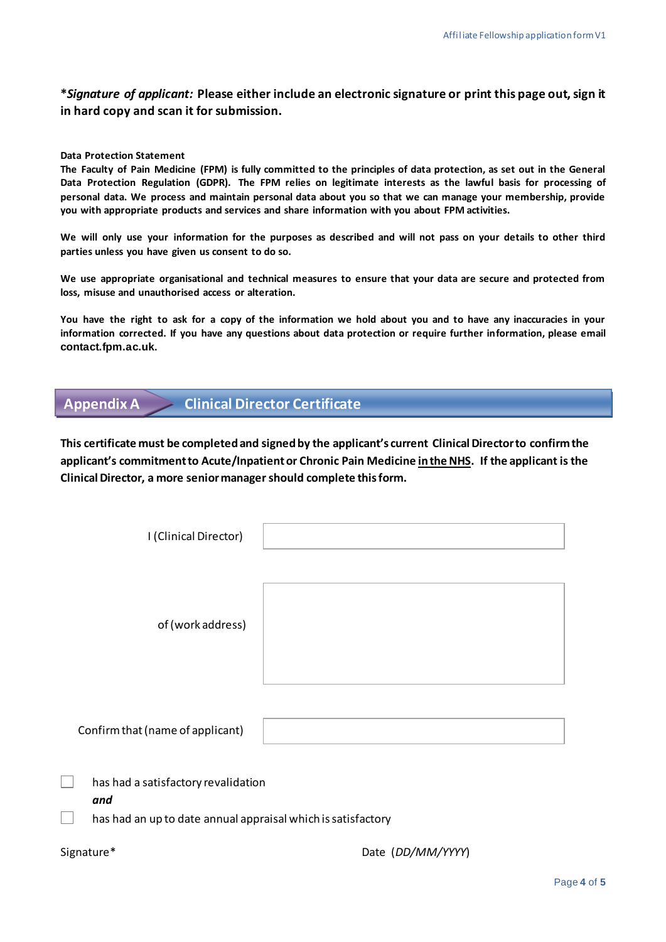#### **\****Signature of applicant:* **Please either include an electronic signature or print this page out, sign it in hard copy and scan it for submission.**

#### **Data Protection Statement**

**The Faculty of Pain Medicine (FPM) is fully committed to the principles of data protection, as set out in the General Data Protection Regulation (GDPR). The FPM relies on legitimate interests as the lawful basis for processing of personal data. We process and maintain personal data about you so that we can manage your membership, provide you with appropriate products and services and share information with you about FPM activities.**

**We will only use your information for the purposes as described and will not pass on your details to other third parties unless you have given us consent to do so.**

**We use appropriate organisational and technical measures to ensure that your data are secure and protected from loss, misuse and unauthorised access or alteration.**

**You have the right to ask for a copy of the information we hold about you and to have any inaccuracies in your information corrected. If you have any questions about data protection or require further information, please email [contact.fpm.ac.uk](mailto:contact.fpm.ac.uk).**

# **Appendix A Clinical Director Certificate**

**This certificate must be completed and signed by the applicant's current Clinical Director to confirm the applicant's commitment to Acute/Inpatient or Chronic Pain Medicine in the NHS. If the applicant is the Clinical Director, a more senior managershould complete this form.** 

| I (Clinical Director)                                                                                      |                   |
|------------------------------------------------------------------------------------------------------------|-------------------|
| of (work address)                                                                                          |                   |
| Confirm that (name of applicant)                                                                           |                   |
| has had a satisfactory revalidation<br>and<br>has had an up to date annual appraisal which is satisfactory |                   |
| Signature*                                                                                                 | Date (DD/MM/YYYY) |